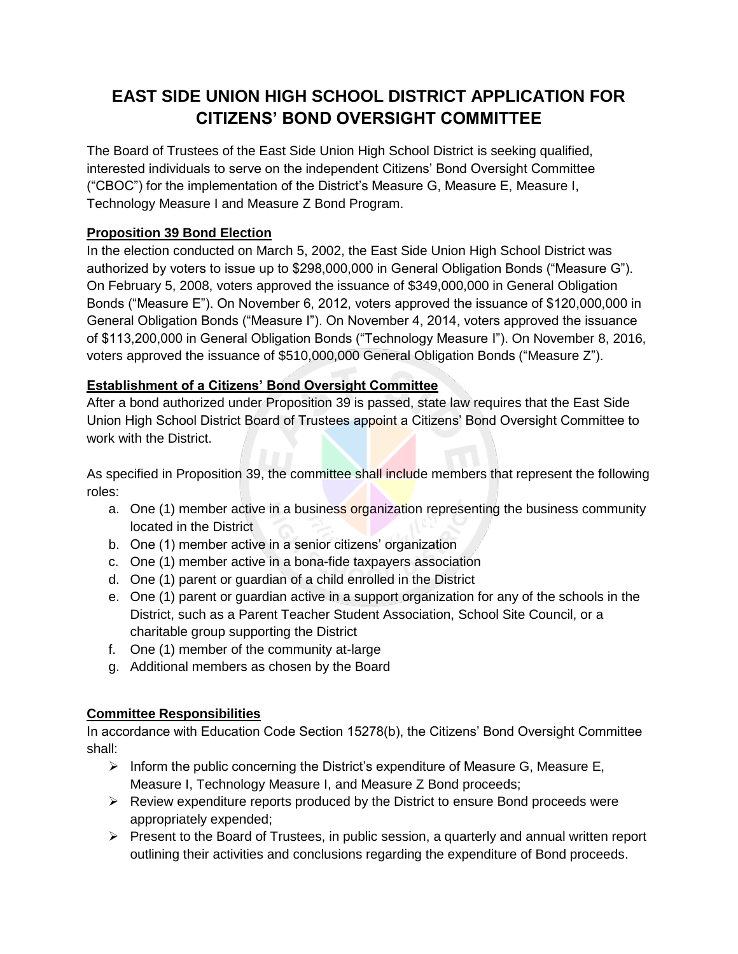## **EAST SIDE UNION HIGH SCHOOL DISTRICT APPLICATION FOR CITIZENS' BOND OVERSIGHT COMMITTEE**

The Board of Trustees of the East Side Union High School District is seeking qualified, interested individuals to serve on the independent Citizens' Bond Oversight Committee ("CBOC") for the implementation of the District's Measure G, Measure E, Measure I, Technology Measure I and Measure Z Bond Program.

### **Proposition 39 Bond Election**

In the election conducted on March 5, 2002, the East Side Union High School District was authorized by voters to issue up to \$298,000,000 in General Obligation Bonds ("Measure G"). On February 5, 2008, voters approved the issuance of \$349,000,000 in General Obligation Bonds ("Measure E"). On November 6, 2012, voters approved the issuance of \$120,000,000 in General Obligation Bonds ("Measure I"). On November 4, 2014, voters approved the issuance of \$113,200,000 in General Obligation Bonds ("Technology Measure I"). On November 8, 2016, voters approved the issuance of \$510,000,000 General Obligation Bonds ("Measure Z").

#### **Establishment of a Citizens' Bond Oversight Committee**

After a bond authorized under Proposition 39 is passed, state law requires that the East Side Union High School District Board of Trustees appoint a Citizens' Bond Oversight Committee to work with the District.

As specified in Proposition 39, the committee shall include members that represent the following roles:

- a. One (1) member active in a business organization representing the business community located in the District
- b. One (1) member active in a senior citizens' organization
- c. One (1) member active in a bona-fide taxpayers association
- d. One (1) parent or guardian of a child enrolled in the District
- e. One (1) parent or guardian active in a support organization for any of the schools in the District, such as a Parent Teacher Student Association, School Site Council, or a charitable group supporting the District
- f. One (1) member of the community at-large
- g. Additional members as chosen by the Board

#### **Committee Responsibilities**

In accordance with Education Code Section 15278(b), the Citizens' Bond Oversight Committee shall:

- Inform the public concerning the District's expenditure of Measure G, Measure E, Measure I, Technology Measure I, and Measure Z Bond proceeds;
- $\triangleright$  Review expenditure reports produced by the District to ensure Bond proceeds were appropriately expended;
- $\triangleright$  Present to the Board of Trustees, in public session, a quarterly and annual written report outlining their activities and conclusions regarding the expenditure of Bond proceeds.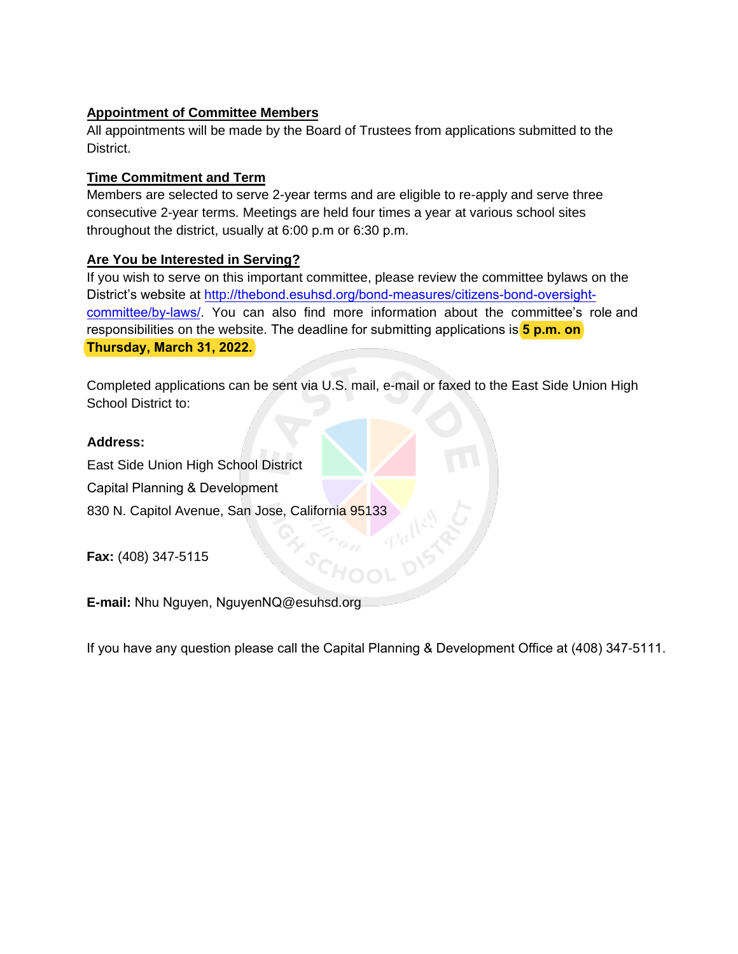#### **Appointment of Committee Members**

All appointments will be made by the Board of Trustees from applications submitted to the District.

#### **Time Commitment and Term**

Members are selected to serve 2-year terms and are eligible to re-apply and serve three consecutive 2-year terms. Meetings are held four times a year at various school sites throughout the district, usually at 6:00 p.m or 6:30 p.m.

#### **Are You be Interested in Serving?**

If you wish to serve on this important committee, please review the committee bylaws on the District's website at http://thebond.esuhsd.org/bond-measures/citizens-bond-oversightcommittee/by-laws/. [You can also find more information about the](http://facilities.esuhsd.org/citizens-bond-oversight-committee/) committee's role and responsibilities on the website. The deadline for submitting applications is **5 p.m. on Thursday, March 31, 2022.**

Completed applications can be sent via U.S. mail, e-mail or faxed to the East Side Union High School District to:

#### **Address:**

East Side Union High School District Capital Planning & Development 830 N. Capitol Avenue, San Jose, California 95133

**Fax:** (408) 347-5115

**E-mail:** Nhu Nguyen, NguyenNQ@esuhsd.org

If you have any question please call the Capital Planning & Development Office at (408) 347-5111.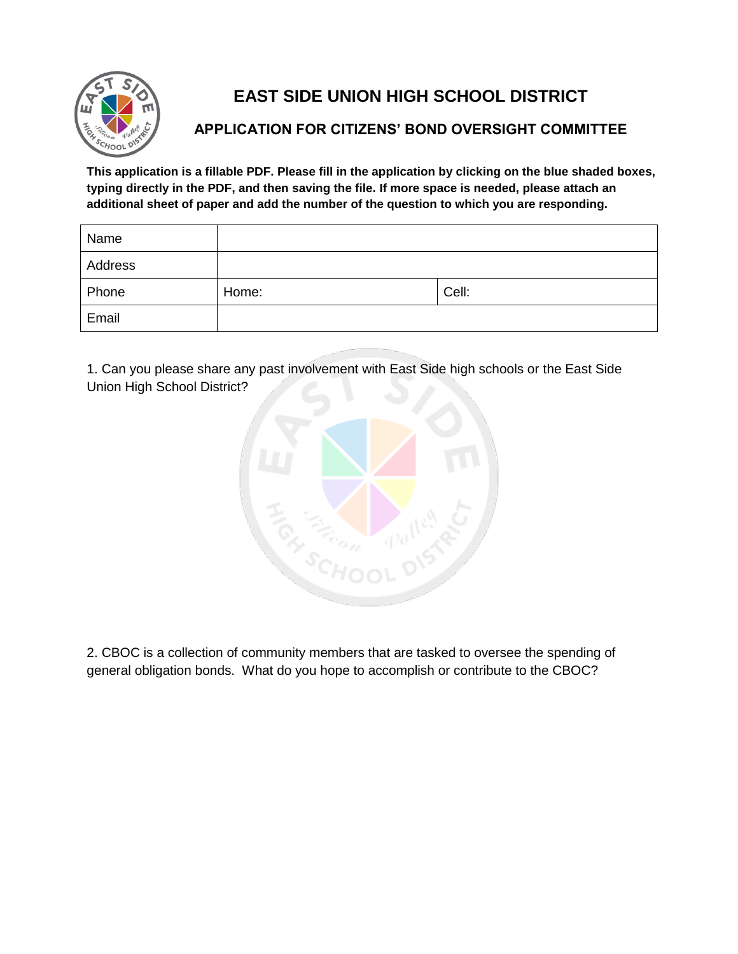

# **EAST SIDE UNION HIGH SCHOOL DISTRICT**

### **APPLICATION FOR CITIZENS' BOND OVERSIGHT COMMITTEE**

**This application is a fillable PDF. Please fill in the application by clicking on the blue shaded boxes, typing directly in the PDF, and then saving the file. If more space is needed, please attach an additional sheet of paper and add the number of the question to which you are responding.** 

| Name    |       |       |
|---------|-------|-------|
| Address |       |       |
| Phone   | Home: | Cell: |
| Email   |       |       |

1. Can you please share any past involvement with East Side high schools or the East Side Union High School District?



2. CBOC is a collection of community members that are tasked to oversee the spending of general obligation bonds. What do you hope to accomplish or contribute to the CBOC?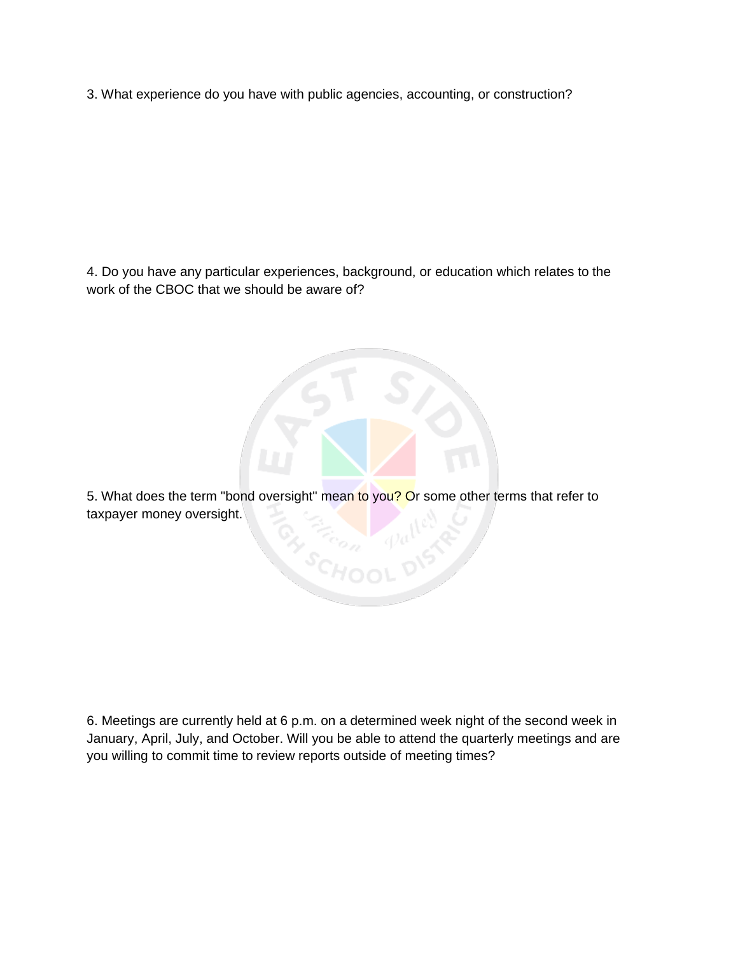3. What experience do you have with public agencies, accounting, or construction?

4. Do you have any particular experiences, background, or education which relates to the work of the CBOC that we should be aware of?

5. What does the term "bond oversight" mean to you? Or some other terms that refer to taxpayer money oversight. **Gy Trop 1** 

6. Meetings are currently held at 6 p.m. on a determined week night of the second week in January, April, July, and October. Will you be able to attend the quarterly meetings and are you willing to commit time to review reports outside of meeting times?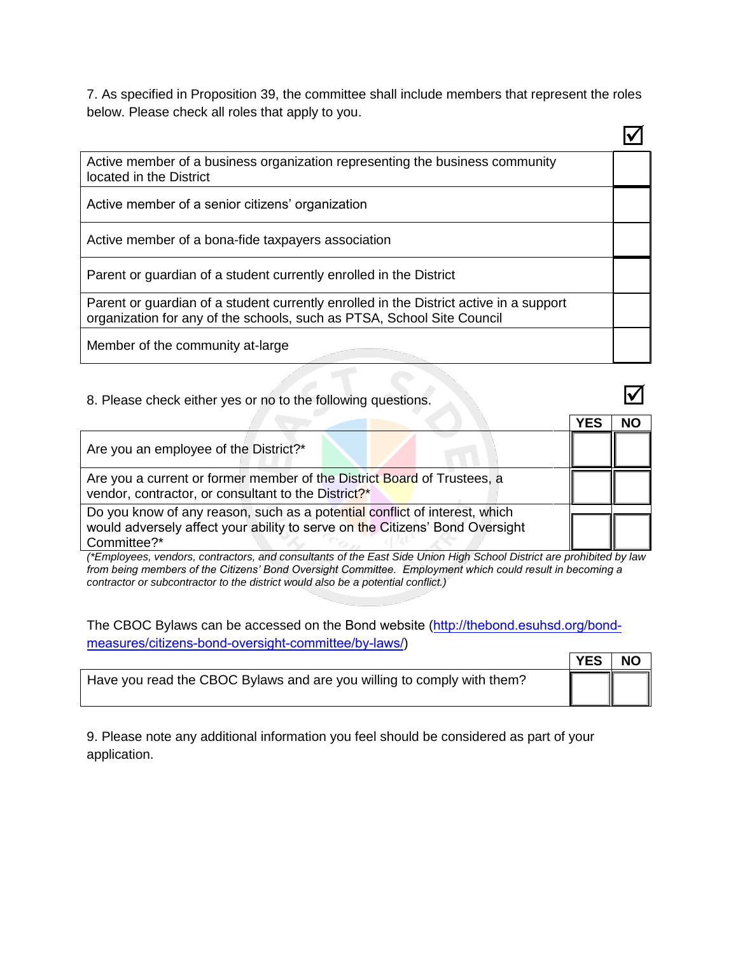7. As specified in Proposition 39, the committee shall include members that represent the roles below. Please check all roles that apply to you.

 $\overline{\phantom{0}}$ 

| Active member of a business organization representing the business community<br>located in the District                                                          |  |
|------------------------------------------------------------------------------------------------------------------------------------------------------------------|--|
| Active member of a senior citizens' organization                                                                                                                 |  |
| Active member of a bona-fide taxpayers association                                                                                                               |  |
| Parent or guardian of a student currently enrolled in the District                                                                                               |  |
| Parent or guardian of a student currently enrolled in the District active in a support<br>organization for any of the schools, such as PTSA, School Site Council |  |
| Member of the community at-large                                                                                                                                 |  |

#### 8. Please check either yes or no to the following questions.

|                                                                                                                                                                           | YES | NΟ |
|---------------------------------------------------------------------------------------------------------------------------------------------------------------------------|-----|----|
| Are you an employee of the District?*                                                                                                                                     |     |    |
| Are you a current or former member of the District Board of Trustees, a<br>vendor, contractor, or consultant to the District?*                                            |     |    |
| Do you know of any reason, such as a potential conflict of interest, which<br>would adversely affect your ability to serve on the Citizens' Bond Oversight<br>Committee?* |     |    |

*(\*Employees, vendors, contractors, and consultants of the East Side Union High School District are prohibited by law from being members of the Citizens' Bond Oversight Committee. Employment which could result in becoming a contractor or subcontractor to the district would also be a potential conflict.)* 

The CBOC Bylaws can be accessed on the Bond website (ht[tp://thebond.esuhsd.org/bond](http://facilities.esuhsd.org/citizens-bond-oversight-committee/)[measures/citizens-bond-ove](http://facilities.esuhsd.org/citizens-bond-oversight-committee/)rsight-committee/by-laws/)

|                                                                        | <b>YES</b> | <b>NO</b> |
|------------------------------------------------------------------------|------------|-----------|
| Have you read the CBOC Bylaws and are you willing to comply with them? |            |           |

9. Please note any additional information you feel should be considered as part of your application.